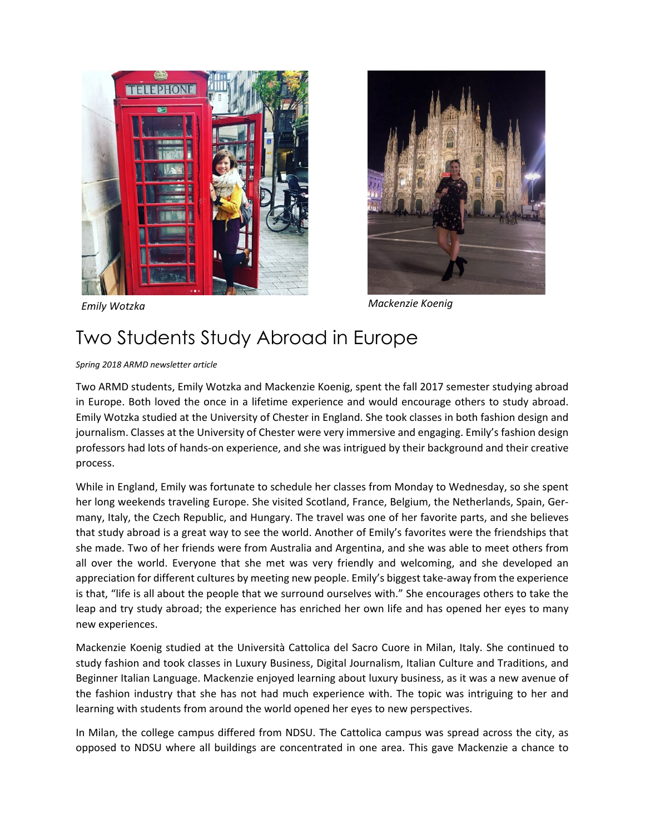



*Emily Wotzka Mackenzie Koenig*

## Two Students Study Abroad in Europe

## *Spring 2018 ARMD newsletter article*

Two ARMD students, Emily Wotzka and Mackenzie Koenig, spent the fall 2017 semester studying abroad in Europe. Both loved the once in a lifetime experience and would encourage others to study abroad. Emily Wotzka studied at the University of Chester in England. She took classes in both fashion design and journalism. Classes at the University of Chester were very immersive and engaging. Emily's fashion design professors had lots of hands-on experience, and she was intrigued by their background and their creative process.

While in England, Emily was fortunate to schedule her classes from Monday to Wednesday, so she spent her long weekends traveling Europe. She visited Scotland, France, Belgium, the Netherlands, Spain, Germany, Italy, the Czech Republic, and Hungary. The travel was one of her favorite parts, and she believes that study abroad is a great way to see the world. Another of Emily's favorites were the friendships that she made. Two of her friends were from Australia and Argentina, and she was able to meet others from all over the world. Everyone that she met was very friendly and welcoming, and she developed an appreciation for different cultures by meeting new people. Emily's biggest take-away from the experience is that, "life is all about the people that we surround ourselves with." She encourages others to take the leap and try study abroad; the experience has enriched her own life and has opened her eyes to many new experiences.

Mackenzie Koenig studied at the Università Cattolica del Sacro Cuore in Milan, Italy. She continued to study fashion and took classes in Luxury Business, Digital Journalism, Italian Culture and Traditions, and Beginner Italian Language. Mackenzie enjoyed learning about luxury business, as it was a new avenue of the fashion industry that she has not had much experience with. The topic was intriguing to her and learning with students from around the world opened her eyes to new perspectives.

In Milan, the college campus differed from NDSU. The Cattolica campus was spread across the city, as opposed to NDSU where all buildings are concentrated in one area. This gave Mackenzie a chance to